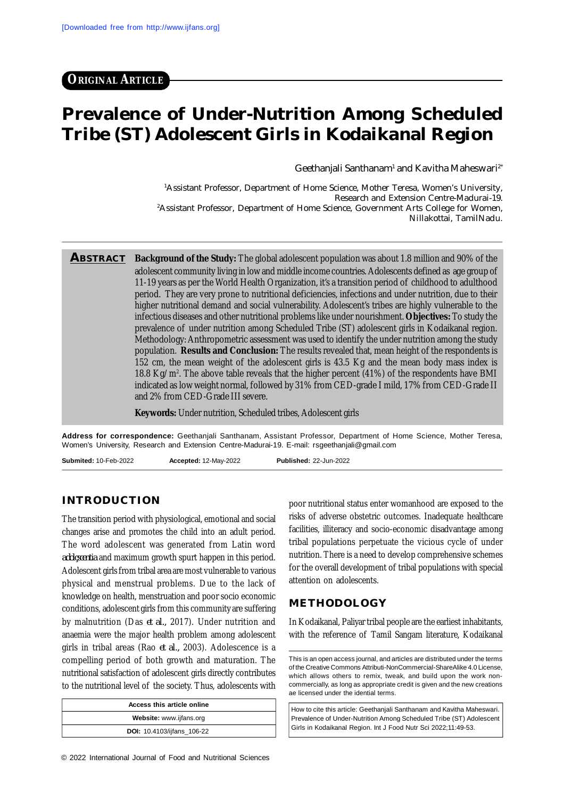# **Prevalence of Under-Nutrition Among Scheduled Tribe (ST) Adolescent Girls in Kodaikanal Region**

Geethanjali Santhanam $^{\scriptscriptstyle 1}$  and Kavitha Maheswari $^{\scriptscriptstyle 2^{\ast}}$ 

<sup>1</sup>Assistant Professor, Department of Home Science, Mother Teresa, Women's University, Research and Extension Centre-Madurai-19. <sup>2</sup>Assistant Professor, Department of Home Science, Government Arts College for Women, Nillakottai, TamilNadu.

**ABSTRACT Background of the Study:** The global adolescent population was about 1.8 million and 90% of the adolescent community living in low and middle income countries. Adolescents defined as age group of 11-19 years as per the World Health Organization, it's a transition period of childhood to adulthood period. They are very prone to nutritional deficiencies, infections and under nutrition, due to their higher nutritional demand and social vulnerability. Adolescent's tribes are highly vulnerable to the infectious diseases and other nutritional problems like under nourishment. **Objectives:** To study the prevalence of under nutrition among Scheduled Tribe (ST) adolescent girls in Kodaikanal region. Methodology: Anthropometric assessment was used to identify the under nutrition among the study population. **Results and Conclusion:** The results revealed that, mean height of the respondents is 152 cm, the mean weight of the adolescent girls is 43.5 Kg and the mean body mass index is 18.8 Kg/m<sup>2</sup> . The above table reveals that the higher percent (41%) of the respondents have BMI indicated as low weight normal, followed by 31% from CED-grade I mild, 17% from CED-Grade II and 2% from CED-Grade III severe.

**Keywords:** Under nutrition, Scheduled tribes, Adolescent girls

**Address for correspondence:** Geethanjali Santhanam, Assistant Professor, Department of Home Science, Mother Teresa, Women's University, Research and Extension Centre-Madurai-19. E-mail: [rsgeethanjali@gmail.com](mailto:rsgeethanjali@gmail.com)

**Submited:** 10-Feb-2022 **Accepted:** 12-May-2022 **Published:** 22-Jun-2022

#### **INTRODUCTION**

The transition period with physiological, emotional and social changes arise and promotes the child into an adult period. The word adolescent was generated from Latin word *adolçscentia* and maximum growth spurt happen in this period. Adolescent girls from tribal area are most vulnerable to various physical and menstrual problems. Due to the lack of knowledge on health, menstruation and poor socio economic conditions, adolescent girls from this community are suffering by malnutrition (Das *et al.,* 2017). Under nutrition and anaemia were the major health problem among adolescent girls in tribal areas (Rao *et al.,* 2003). Adolescence is a compelling period of both growth and maturation. The nutritional satisfaction of adolescent girls directly contributes to the nutritional level of the society. Thus, adolescents with

| Access this article online |  |  |
|----------------------------|--|--|
| Website: www.ijfans.org    |  |  |
| DOI: 10.4103/ijfans_106-22 |  |  |

© 2022 International Journal of Food and Nutritional Sciences

poor nutritional status enter womanhood are exposed to the risks of adverse obstetric outcomes. Inadequate healthcare facilities, illiteracy and socio-economic disadvantage among tribal populations perpetuate the vicious cycle of under nutrition. There is a need to develop comprehensive schemes for the overall development of tribal populations with special attention on adolescents.

#### **METHODOLOGY**

In Kodaikanal, Paliyar tribal people are the earliest inhabitants, with the reference of Tamil Sangam literature, Kodaikanal

This is an open access journal, and articles are distributed under the terms of the Creative Commons Attributi-NonCommercial-ShareAlike 4.0 License, which allows others to remix, tweak, and build upon the work noncommercially, as long as appropriate credit is given and the new creations ae licensed under the idential terms.

How to cite this article: Geethanjali Santhanam and Kavitha Maheswari. Prevalence of Under-Nutrition Among Scheduled Tribe (ST) Adolescent Girls in Kodaikanal Region. Int J Food Nutr Sci 2022;11:49-53.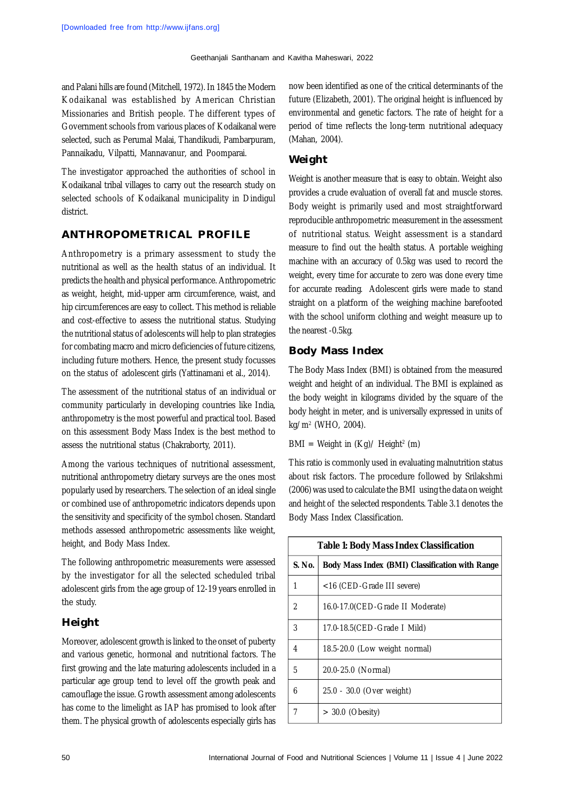and Palani hills are found (Mitchell, 1972). In 1845 the Modern Kodaikanal was established by American Christian Missionaries and British people. The different types of Government schools from various places of Kodaikanal were selected, such as Perumal Malai, Thandikudi, Pambarpuram, Pannaikadu, Vilpatti, Mannavanur, and Poomparai.

The investigator approached the authorities of school in Kodaikanal tribal villages to carry out the research study on selected schools of Kodaikanal municipality in Dindigul district.

## **ANTHROPOMETRICAL PROFILE**

Anthropometry is a primary assessment to study the nutritional as well as the health status of an individual. It predicts the health and physical performance. Anthropometric as weight, height, mid-upper arm circumference, waist, and hip circumferences are easy to collect. This method is reliable and cost-effective to assess the nutritional status. Studying the nutritional status of adolescents will help to plan strategies for combating macro and micro deficiencies of future citizens, including future mothers. Hence, the present study focusses on the status of adolescent girls (Yattinamani et al., 2014).

The assessment of the nutritional status of an individual or community particularly in developing countries like India, anthropometry is the most powerful and practical tool. Based on this assessment Body Mass Index is the best method to assess the nutritional status (Chakraborty, 2011).

Among the various techniques of nutritional assessment, nutritional anthropometry dietary surveys are the ones most popularly used by researchers. The selection of an ideal single or combined use of anthropometric indicators depends upon the sensitivity and specificity of the symbol chosen. Standard methods assessed anthropometric assessments like weight, height, and Body Mass Index.

The following anthropometric measurements were assessed by the investigator for all the selected scheduled tribal adolescent girls from the age group of 12-19 years enrolled in the study.

# **Height**

Moreover, adolescent growth is linked to the onset of puberty and various genetic, hormonal and nutritional factors. The first growing and the late maturing adolescents included in a particular age group tend to level off the growth peak and camouflage the issue. Growth assessment among adolescents has come to the limelight as IAP has promised to look after them. The physical growth of adolescents especially girls has now been identified as one of the critical determinants of the future (Elizabeth, 2001). The original height is influenced by environmental and genetic factors. The rate of height for a period of time reflects the long-term nutritional adequacy (Mahan, 2004).

# **Weight**

Weight is another measure that is easy to obtain. Weight also provides a crude evaluation of overall fat and muscle stores. Body weight is primarily used and most straightforward reproducible anthropometric measurement in the assessment of nutritional status. Weight assessment is a standard measure to find out the health status. A portable weighing machine with an accuracy of 0.5kg was used to record the weight, every time for accurate to zero was done every time for accurate reading. Adolescent girls were made to stand straight on a platform of the weighing machine barefooted with the school uniform clothing and weight measure up to the nearest -0.5kg.

## **Body Mass Index**

The Body Mass Index (BMI) is obtained from the measured weight and height of an individual. The BMI is explained as the body weight in kilograms divided by the square of the body height in meter, and is universally expressed in units of kg/m<sup>2</sup> (WHO, 2004).

#### BMI = Weight in (Kg)/ Height<sup>2</sup> (m)

This ratio is commonly used in evaluating malnutrition status about risk factors. The procedure followed by Srilakshmi (2006) was used to calculate the BMI using the data on weight and height of the selected respondents. Table 3.1 denotes the Body Mass Index Classification.

| <b>Table 1: Body Mass Index Classification</b> |                                                 |  |  |
|------------------------------------------------|-------------------------------------------------|--|--|
| S. No.                                         | Body Mass Index (BMI) Classification with Range |  |  |
| 1                                              | <16 (CED-Grade III severe)                      |  |  |
| 2                                              | 16.0-17.0(CED-Grade II Moderate)                |  |  |
| 3                                              | 17.0-18.5 (CED-Grade   Mild)                    |  |  |
| 4                                              | 18.5-20.0 (Low weight normal)                   |  |  |
| 5                                              | 20.0-25.0 (Normal)                              |  |  |
| 6                                              | 25.0 - 30.0 (Over weight)                       |  |  |
| 7                                              | $> 30.0$ (Obesity)                              |  |  |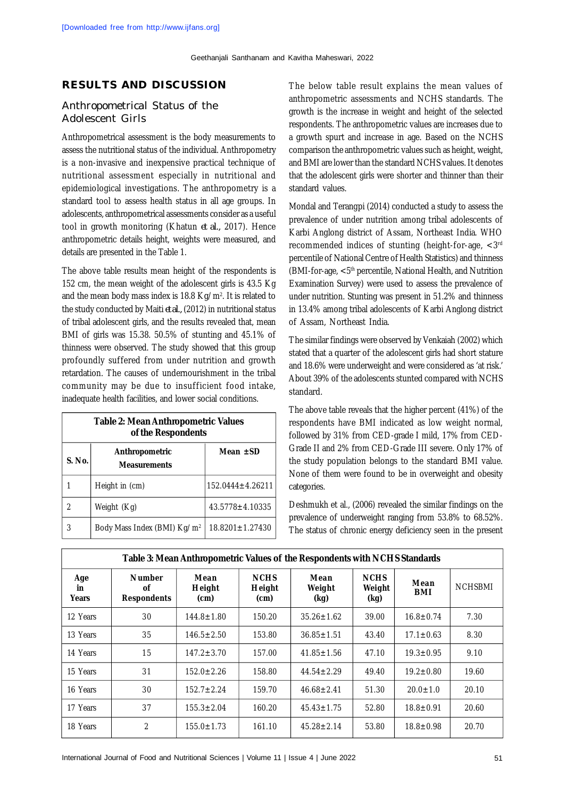## **RESULTS AND DISCUSSION**

#### Anthropometrical Status of the Adolescent Girls

Anthropometrical assessment is the body measurements to assess the nutritional status of the individual. Anthropometry is a non-invasive and inexpensive practical technique of nutritional assessment especially in nutritional and epidemiological investigations. The anthropometry is a standard tool to assess health status in all age groups. In adolescents, anthropometrical assessments consider as a useful tool in growth monitoring (Khatun *et al.,* 2017). Hence anthropometric details height, weights were measured, and details are presented in the Table 1.

The above table results mean height of the respondents is 152 cm, the mean weight of the adolescent girls is 43.5 Kg and the mean body mass index is 18.8 Kg/m². It is related to the study conducted by Maiti *et al.,* (2012) in nutritional status of tribal adolescent girls, and the results revealed that, mean BMI of girls was 15.38. 50.5% of stunting and 45.1% of thinness were observed. The study showed that this group profoundly suffered from under nutrition and growth retardation. The causes of undernourishment in the tribal community may be due to insufficient food intake, inadequate health facilities, and lower social conditions.

| <b>Table 2: Mean Anthropometric Values</b><br>of the Respondents |                                         |                        |  |  |  |
|------------------------------------------------------------------|-----------------------------------------|------------------------|--|--|--|
| S. No.                                                           | Anthropometric<br><b>Measurements</b>   | Mean $\pm$ SD          |  |  |  |
|                                                                  | Height in (cm)                          | $152.0444 \pm 4.26211$ |  |  |  |
|                                                                  | Weight (Kg)                             | $43.5778 \pm 4.10335$  |  |  |  |
| 3                                                                | Body Mass Index (BMI) Kg/m <sup>2</sup> | $18.8201 \pm 1.27430$  |  |  |  |

The below table result explains the mean values of anthropometric assessments and NCHS standards. The growth is the increase in weight and height of the selected respondents. The anthropometric values are increases due to a growth spurt and increase in age. Based on the NCHS comparison the anthropometric values such as height, weight, and BMI are lower than the standard NCHS values. It denotes that the adolescent girls were shorter and thinner than their standard values.

Mondal and Terangpi (2014) conducted a study to assess the prevalence of under nutrition among tribal adolescents of Karbi Anglong district of Assam, Northeast India. WHO recommended indices of stunting (height-for-age, <3rd percentile of National Centre of Health Statistics) and thinness (BMI-for-age, <5th percentile, National Health, and Nutrition Examination Survey) were used to assess the prevalence of under nutrition. Stunting was present in 51.2% and thinness in 13.4% among tribal adolescents of Karbi Anglong district of Assam, Northeast India.

The similar findings were observed by Venkaiah (2002) which stated that a quarter of the adolescent girls had short stature and 18.6% were underweight and were considered as 'at risk.' About 39% of the adolescents stunted compared with NCHS standard.

The above table reveals that the higher percent (41%) of the respondents have BMI indicated as low weight normal, followed by 31% from CED-grade I mild, 17% from CED-Grade II and 2% from CED-Grade III severe. Only 17% of the study population belongs to the standard BMI value. None of them were found to be in overweight and obesity categories.

Deshmukh et al., (2006) revealed the similar findings on the prevalence of underweight ranging from 53.8% to 68.52%. The status of chronic energy deficiency seen in the present

| <u>awis of Historii film a politonity talass of the resoperation film feet to otaliaal</u> |                                           |                        |                               |                        |                               |                    |                |
|--------------------------------------------------------------------------------------------|-------------------------------------------|------------------------|-------------------------------|------------------------|-------------------------------|--------------------|----------------|
| Age<br>in.<br>Years                                                                        | <b>Number</b><br>οf<br><b>Respondents</b> | Mean<br>Height<br>(cm) | <b>NCHS</b><br>Height<br>(cm) | Mean<br>Weight<br>(kg) | <b>NCHS</b><br>Weight<br>(kg) | Mean<br><b>BMI</b> | <b>NCHSBMI</b> |
| 12 Years                                                                                   | 30                                        | $144.8 \pm 1.80$       | 150.20                        | $35.26 \pm 1.62$       | 39.00                         | $16.8 \pm 0.74$    | 7.30           |
| 13 Years                                                                                   | 35                                        | $146.5 \pm 2.50$       | 153.80                        | $36.85 \pm 1.51$       | 43.40                         | $17.1 \pm 0.63$    | 8.30           |
| 14 Years                                                                                   | 15                                        | $147.2 \pm 3.70$       | 157.00                        | $41.85 \pm 1.56$       | 47.10                         | $19.3 \pm 0.95$    | 9.10           |
| 15 Years                                                                                   | 31                                        | $152.0 \pm 2.26$       | 158.80                        | $44.54 \pm 2.29$       | 49.40                         | $19.2 \pm 0.80$    | 19.60          |
| 16 Years                                                                                   | 30                                        | $152.7 \pm 2.24$       | 159.70                        | $46.68 \pm 2.41$       | 51.30                         | $20.0 \pm 1.0$     | 20.10          |
| 17 Years                                                                                   | 37                                        | $155.3 \pm 2.04$       | 160.20                        | $45.43 \pm 1.75$       | 52.80                         | $18.8 \pm 0.91$    | 20.60          |
| 18 Years                                                                                   | 2                                         | $155.0 \pm 1.73$       | 161.10                        | $45.28 \pm 2.14$       | 53.80                         | $18.8 \pm 0.98$    | 20.70          |

**Table 3: Mean Anthropometric Values of the Respondents with NCHS Standards**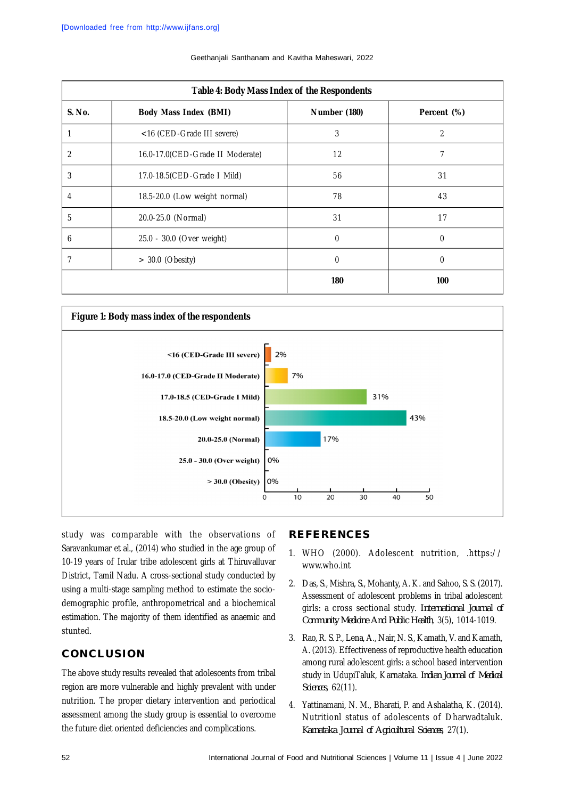| Table 4: Body Mass Index of the Respondents |                                  |              |                |  |  |
|---------------------------------------------|----------------------------------|--------------|----------------|--|--|
| S. No.                                      | <b>Body Mass Index (BMI)</b>     | Number (180) | Percent (%)    |  |  |
|                                             | <16 (CED-Grade III severe)       | 3            | $\overline{2}$ |  |  |
| 2                                           | 16.0-17.0(CED-Grade II Moderate) | 12           |                |  |  |
| 3                                           | 17.0-18.5 (CED-Grade   Mild)     | 56           | 31             |  |  |
| 4                                           | 18.5-20.0 (Low weight normal)    | 78           | 43             |  |  |
| 5                                           | 20.0-25.0 (Normal)               | 31           | 17             |  |  |
| 6                                           | 25.0 - 30.0 (Over weight)        | $\mathbf 0$  | $\mathbf 0$    |  |  |
|                                             | $> 30.0$ (Obesity)               | 0            | 0              |  |  |
|                                             |                                  | 180          | 100            |  |  |

#### Geethanjali Santhanam and Kavitha Maheswari, 2022



study was comparable with the observations of Saravankumar et al., (2014) who studied in the age group of 10-19 years of Irular tribe adolescent girls at Thiruvalluvar District, Tamil Nadu. A cross-sectional study conducted by using a multi-stage sampling method to estimate the sociodemographic profile, anthropometrical and a biochemical estimation. The majority of them identified as anaemic and stunted.

# **CONCLUSION**

The above study results revealed that adolescents from tribal region are more vulnerable and highly prevalent with under nutrition. The proper dietary intervention and periodical assessment among the study group is essential to overcome the future diet oriented deficiencies and complications.

#### **REFERENCES**

- 1. WHO (2000). Adolescent nutrition, .<https://> [www.who.int](http://www.who.int)
- 2. Das, S., Mishra, S., Mohanty, A. K. and Sahoo, S. S. (2017). Assessment of adolescent problems in tribal adolescent girls: a cross sectional study. *International Journal of Community Medicine And Public Health*, 3(5), 1014-1019.
- 3. Rao, R. S. P., Lena, A., Nair, N. S., Kamath, V. and Kamath, A. (2013). Effectiveness of reproductive health education among rural adolescent girls: a school based intervention study in UdupiTaluk, Karnataka. *Indian Journal of Medical Sciences*, 62(11).
- 4. Yattinamani, N. M., Bharati, P. and Ashalatha, K. (2014). Nutritionl status of adolescents of Dharwadtaluk. *Karnataka Journal of Agricultural Sciences*, 27(1).